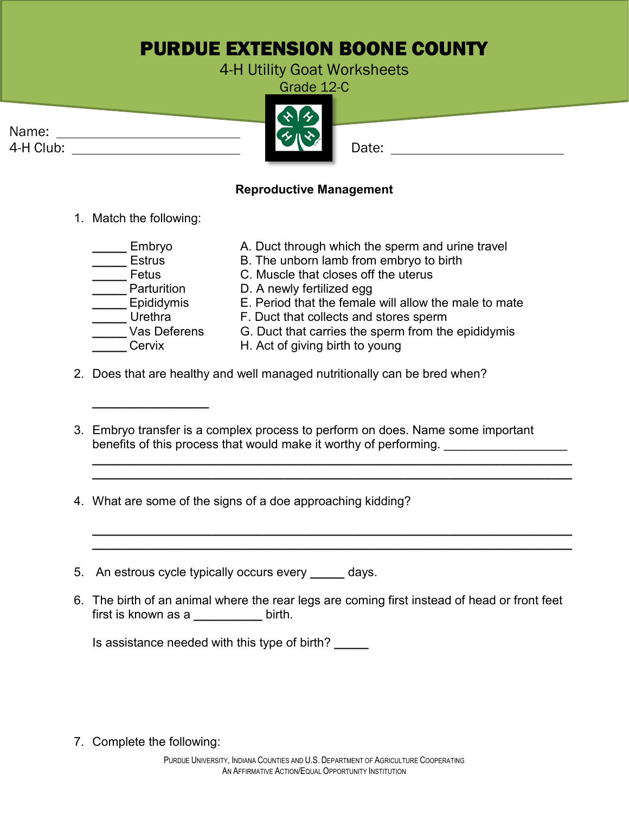## PURDUE EXTENSION BOONE COUNTY

4-H Utility Goat Worksheets

Grade 12-C

Name:



## **Reproductive Management**

- 1. Match the following:
	- \_\_\_\_Parturition D. A newly fertilized egg<br>\_\_\_ Epididymis E. Period that the female

**\_\_\_\_\_\_\_\_\_\_\_\_\_\_\_\_\_**

- \_\_Embryo A. Duct through which the sperm and urine travel<br>\_\_Estrus B. The unborn lamb from embrvo to birth
- \_\_\_\_ Estrus B. The unborn lamb from embryo to birth<br>\_\_\_\_\_Fetus C. Muscle that closes off the uterus
	- C. Muscle that closes off the uterus
	-
	- Lepididymis **E. Period that the female will allow the male to mate**<br>Urethra **E. Duct that collects and stores sperm** 
		- F. Duct that collects and stores sperm
- Vas Deferens G. Duct that carries the sperm from the epididymis<br>Cervix H. Act of giving birth to young
	- H. Act of giving birth to young
- 2. Does that are healthy and well managed nutritionally can be bred when?
- 3. Embryo transfer is a complex process to perform on does. Name some important benefits of this process that would make it worthy of performing.

**\_\_\_\_\_\_\_\_\_\_\_\_\_\_\_\_\_\_\_\_\_\_\_\_\_\_\_\_\_\_\_\_\_\_\_\_\_\_\_\_\_\_\_\_\_\_\_\_\_\_\_\_\_\_\_\_\_\_\_\_\_\_\_\_\_\_\_\_\_\_ \_\_\_\_\_\_\_\_\_\_\_\_\_\_\_\_\_\_\_\_\_\_\_\_\_\_\_\_\_\_\_\_\_\_\_\_\_\_\_\_\_\_\_\_\_\_\_\_\_\_\_\_\_\_\_\_\_\_\_\_\_\_\_\_\_\_\_\_\_\_**

**\_\_\_\_\_\_\_\_\_\_\_\_\_\_\_\_\_\_\_\_\_\_\_\_\_\_\_\_\_\_\_\_\_\_\_\_\_\_\_\_\_\_\_\_\_\_\_\_\_\_\_\_\_\_\_\_\_\_\_\_\_\_\_\_\_\_\_\_\_\_ \_\_\_\_\_\_\_\_\_\_\_\_\_\_\_\_\_\_\_\_\_\_\_\_\_\_\_\_\_\_\_\_\_\_\_\_\_\_\_\_\_\_\_\_\_\_\_\_\_\_\_\_\_\_\_\_\_\_\_\_\_\_\_\_\_\_\_\_\_\_**

- 4. What are some of the signs of a doe approaching kidding?
- 5. An estrous cycle typically occurs every **\_\_\_\_\_** days.
- 6. The birth of an animal where the rear legs are coming first instead of head or front feet first is known as a **\_\_\_\_\_\_\_\_\_\_** birth.

Is assistance needed with this type of birth? **\_\_\_\_\_**

7. Complete the following: